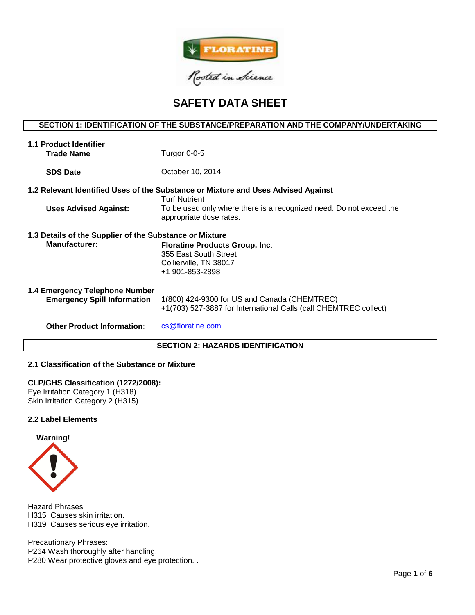

# **SAFETY DATA SHEET**

# **SECTION 1: IDENTIFICATION OF THE SUBSTANCE/PREPARATION AND THE COMPANY/UNDERTAKING**

| <b>1.1 Product Identifier</b><br><b>Trade Name</b>                                                        | Turgor 0-0-5                                                                                                     |  |  |  |  |  |
|-----------------------------------------------------------------------------------------------------------|------------------------------------------------------------------------------------------------------------------|--|--|--|--|--|
| <b>SDS Date</b>                                                                                           | October 10, 2014                                                                                                 |  |  |  |  |  |
| 1.2 Relevant Identified Uses of the Substance or Mixture and Uses Advised Against<br><b>Turf Nutrient</b> |                                                                                                                  |  |  |  |  |  |
| <b>Uses Advised Against:</b>                                                                              | To be used only where there is a recognized need. Do not exceed the<br>appropriate dose rates.                   |  |  |  |  |  |
| 1.3 Details of the Supplier of the Substance or Mixture                                                   |                                                                                                                  |  |  |  |  |  |
| <b>Manufacturer:</b>                                                                                      | <b>Floratine Products Group, Inc.</b><br>355 East South Street<br>Collierville, TN 38017<br>+1 901-853-2898      |  |  |  |  |  |
| 1.4 Emergency Telephone Number<br><b>Emergency Spill Information</b>                                      | 1(800) 424-9300 for US and Canada (CHEMTREC)<br>+1(703) 527-3887 for International Calls (call CHEMTREC collect) |  |  |  |  |  |
| <b>Other Product Information:</b>                                                                         | cs@floratine.com                                                                                                 |  |  |  |  |  |
| <b>SECTION 2: HAZARDS IDENTIFICATION</b>                                                                  |                                                                                                                  |  |  |  |  |  |

## **2.1 Classification of the Substance or Mixture**

## **CLP/GHS Classification (1272/2008):**

Eye Irritation Category 1 (H318) Skin Irritation Category 2 (H315)

## **2.2 Label Elements**



Hazard Phrases H315 Causes skin irritation. H319 Causes serious eye irritation.

Precautionary Phrases: P264 Wash thoroughly after handling. P280 Wear protective gloves and eye protection. .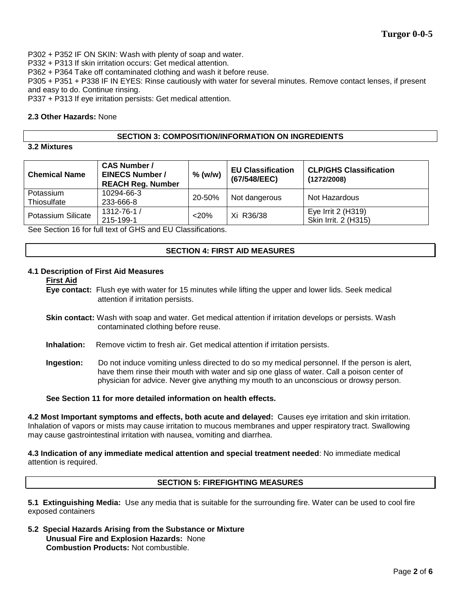P302 + P352 IF ON SKIN: Wash with plenty of soap and water.

P332 + P313 If skin irritation occurs: Get medical attention.

P362 + P364 Take off contaminated clothing and wash it before reuse.

P305 + P351 + P338 IF IN EYES: Rinse cautiously with water for several minutes. Remove contact lenses, if present and easy to do. Continue rinsing.

P337 + P313 If eye irritation persists: Get medical attention.

## **2.3 Other Hazards:** None

## **SECTION 3: COMPOSITION/INFORMATION ON INGREDIENTS**

# **3.2 Mixtures**

| <b>Chemical Name</b>     | <b>CAS Number /</b><br><b>EINECS Number /</b><br><b>REACH Reg. Number</b> | $%$ (w/w) | <b>EU Classification</b><br>(67/548/EEC) | <b>CLP/GHS Classification</b><br>(1272/2008) |
|--------------------------|---------------------------------------------------------------------------|-----------|------------------------------------------|----------------------------------------------|
| Potassium<br>Thiosulfate | 10294-66-3<br>233-666-8                                                   | 20-50%    | Not dangerous                            | Not Hazardous                                |
| Potassium Silicate       | 1312-76-1 /<br>215-199-1                                                  | $<$ 20%   | Xi R36/38                                | Eye Irrit 2 (H319)<br>Skin Irrit. 2 (H315)   |

See Section 16 for full text of GHS and EU Classifications.

## **SECTION 4: FIRST AID MEASURES**

## **4.1 Description of First Aid Measures**

#### **First Aid**

**Eye contact:** Flush eye with water for 15 minutes while lifting the upper and lower lids. Seek medical attention if irritation persists.

- **Skin contact:** Wash with soap and water. Get medical attention if irritation develops or persists. Wash contaminated clothing before reuse.
- **Inhalation:** Remove victim to fresh air. Get medical attention if irritation persists.
- **Ingestion:** Do not induce vomiting unless directed to do so my medical personnel. If the person is alert, have them rinse their mouth with water and sip one glass of water. Call a poison center of physician for advice. Never give anything my mouth to an unconscious or drowsy person.

**See Section 11 for more detailed information on health effects.**

**4.2 Most Important symptoms and effects, both acute and delayed:** Causes eye irritation and skin irritation. Inhalation of vapors or mists may cause irritation to mucous membranes and upper respiratory tract. Swallowing may cause gastrointestinal irritation with nausea, vomiting and diarrhea.

**4.3 Indication of any immediate medical attention and special treatment needed**: No immediate medical attention is required.

# **SECTION 5: FIREFIGHTING MEASURES**

**5.1 Extinguishing Media:** Use any media that is suitable for the surrounding fire. Water can be used to cool fire exposed containers

**5.2 Special Hazards Arising from the Substance or Mixture Unusual Fire and Explosion Hazards:** None **Combustion Products:** Not combustible.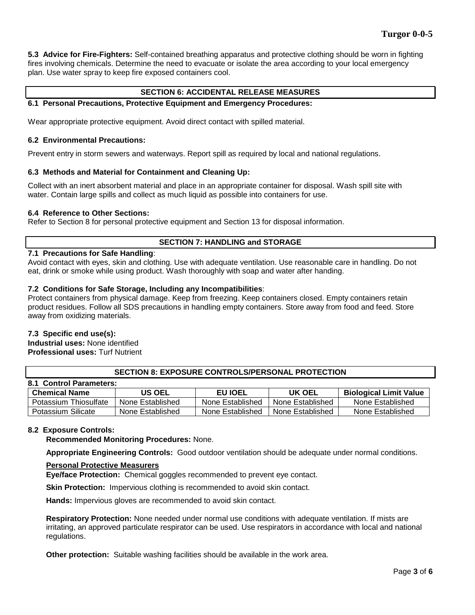**5.3 Advice for Fire-Fighters:** Self-contained breathing apparatus and protective clothing should be worn in fighting fires involving chemicals. Determine the need to evacuate or isolate the area according to your local emergency plan. Use water spray to keep fire exposed containers cool.

# **SECTION 6: ACCIDENTAL RELEASE MEASURES**

## **6.1 Personal Precautions, Protective Equipment and Emergency Procedures:**

Wear appropriate protective equipment. Avoid direct contact with spilled material.

#### **6.2 Environmental Precautions:**

Prevent entry in storm sewers and waterways. Report spill as required by local and national regulations.

## **6.3 Methods and Material for Containment and Cleaning Up:**

Collect with an inert absorbent material and place in an appropriate container for disposal. Wash spill site with water. Contain large spills and collect as much liquid as possible into containers for use.

## **6.4 Reference to Other Sections:**

Refer to Section 8 for personal protective equipment and Section 13 for disposal information.

## **SECTION 7: HANDLING and STORAGE**

## **7.1 Precautions for Safe Handling**:

Avoid contact with eyes, skin and clothing. Use with adequate ventilation. Use reasonable care in handling. Do not eat, drink or smoke while using product. Wash thoroughly with soap and water after handing.

## **7.2 Conditions for Safe Storage, Including any Incompatibilities**:

Protect containers from physical damage. Keep from freezing. Keep containers closed. Empty containers retain product residues. Follow all SDS precautions in handling empty containers. Store away from food and feed. Store away from oxidizing materials.

## **7.3 Specific end use(s):**

**Industrial uses:** None identified **Professional uses:** Turf Nutrient

## **SECTION 8: EXPOSURE CONTROLS/PERSONAL PROTECTION**

| 8.1 Control Parameters: |                  |                  |                  |                               |  |  |  |  |
|-------------------------|------------------|------------------|------------------|-------------------------------|--|--|--|--|
| <b>Chemical Name</b>    | US OEL           | <b>EU IOEL</b>   | UK OEL           | <b>Biological Limit Value</b> |  |  |  |  |
| Potassium Thiosulfate   | None Established | None Established | None Established | None Established              |  |  |  |  |
| Potassium Silicate      | None Established | None Established | None Established | None Established              |  |  |  |  |

## **8.2 Exposure Controls:**

**Recommended Monitoring Procedures:** None.

**Appropriate Engineering Controls:** Good outdoor ventilation should be adequate under normal conditions.

#### **Personal Protective Measurers**

**Eye/face Protection:** Chemical goggles recommended to prevent eye contact.

**Skin Protection:** Impervious clothing is recommended to avoid skin contact.

**Hands:** Impervious gloves are recommended to avoid skin contact.

**Respiratory Protection:** None needed under normal use conditions with adequate ventilation. If mists are irritating, an approved particulate respirator can be used. Use respirators in accordance with local and national regulations.

**Other protection:** Suitable washing facilities should be available in the work area.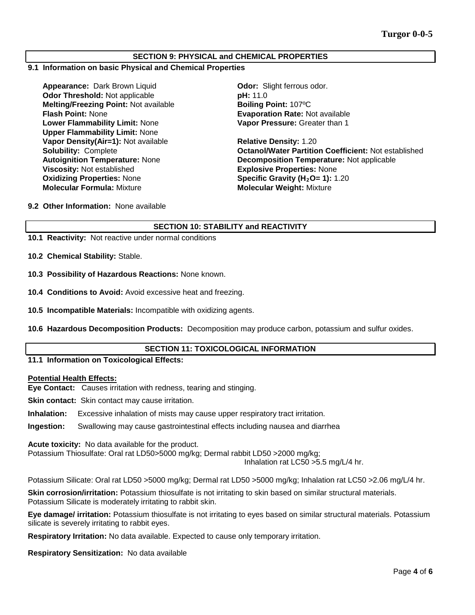## **SECTION 9: PHYSICAL and CHEMICAL PROPERTIES**

#### **9.1 Information on basic Physical and Chemical Properties**

**Appearance:** Dark Brown Liquid **Odor: Odor:** Slight ferrous odor.<br> **Odor Threshold:** Not applicable **Containery Containery DH:** 11.0 **Odor Threshold: Not applicable Melting/Freezing Point:** Not available **Boiling Point:** 107ºC **Flash Point:** None **Evaporation Rate:** Not available **Lower Flammability Limit:** None **Upper Flammability Limit:** None **Vapor Density(Air=1):** Not available **Relative Density:** 1.20 **Viscosity:** Not established **Explosive Properties:** None **Oxidizing Properties:** None **Specific Gravity (H<sub>2</sub>O= 1):** 1.20<br> **Molecular Formula:** Mixture **State of Molecular Weight:** Mixture

**Vapor Pressure:** Greater than 1

**Solubility:** Complete **Octanol/Water Partition Coefficient:** Not established **Autoignition Temperature:** None **Decomposition Temperature:** Not applicable **Molecular Weight: Mixture** 

**9.2 Other Information:** None available

# **SECTION 10: STABILITY and REACTIVITY**

**10.1 Reactivity:** Not reactive under normal conditions

**10.2 Chemical Stability:** Stable.

- **10.3 Possibility of Hazardous Reactions:** None known.
- **10.4 Conditions to Avoid:** Avoid excessive heat and freezing.
- **10.5 Incompatible Materials:** Incompatible with oxidizing agents.
- **10.6 Hazardous Decomposition Products:** Decomposition may produce carbon, potassium and sulfur oxides.

## **SECTION 11: TOXICOLOGICAL INFORMATION**

#### **11.1 Information on Toxicological Effects:**

#### **Potential Health Effects:**

**Eye Contact:** Causes irritation with redness, tearing and stinging.

**Skin contact:** Skin contact may cause irritation.

**Inhalation:** Excessive inhalation of mists may cause upper respiratory tract irritation.

**Ingestion:** Swallowing may cause gastrointestinal effects including nausea and diarrhea

**Acute toxicity:** No data available for the product.

Potassium Thiosulfate: Oral rat LD50>5000 mg/kg; Dermal rabbit LD50 >2000 mg/kg;

Inhalation rat LC50 >5.5 mg/L/4 hr.

Potassium Silicate: Oral rat LD50 >5000 mg/kg; Dermal rat LD50 >5000 mg/kg; Inhalation rat LC50 >2.06 mg/L/4 hr.

**Skin corrosion/irritation:** Potassium thiosulfate is not irritating to skin based on similar structural materials. Potassium Silicate is moderately irritating to rabbit skin.

**Eye damage/ irritation:** Potassium thiosulfate is not irritating to eyes based on similar structural materials. Potassium silicate is severely irritating to rabbit eyes.

**Respiratory Irritation:** No data available. Expected to cause only temporary irritation.

**Respiratory Sensitization:** No data available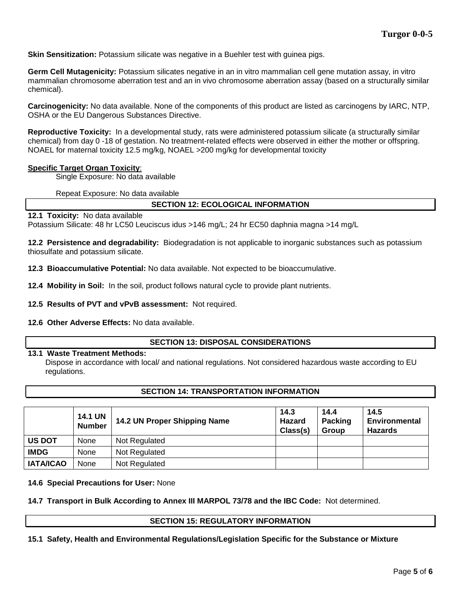**Skin Sensitization:** Potassium silicate was negative in a Buehler test with guinea pigs.

**Germ Cell Mutagenicity:** Potassium silicates negative in an in vitro mammalian cell gene mutation assay, in vitro mammalian chromosome aberration test and an in vivo chromosome aberration assay (based on a structurally similar chemical).

**Carcinogenicity:** No data available. None of the components of this product are listed as carcinogens by IARC, NTP, OSHA or the EU Dangerous Substances Directive.

**Reproductive Toxicity:** In a developmental study, rats were administered potassium silicate (a structurally similar chemical) from day 0 -18 of gestation. No treatment-related effects were observed in either the mother or offspring. NOAEL for maternal toxicity 12.5 mg/kg, NOAEL >200 mg/kg for developmental toxicity

#### **Specific Target Organ Toxicity**:

Single Exposure: No data available

Repeat Exposure: No data available

## **SECTION 12: ECOLOGICAL INFORMATION**

**12.1 Toxicity:** No data available

Potassium Silicate: 48 hr LC50 Leuciscus idus >146 mg/L; 24 hr EC50 daphnia magna >14 mg/L

**12.2 Persistence and degradability:** Biodegradation is not applicable to inorganic substances such as potassium thiosulfate and potassium silicate.

**12.3 Bioaccumulative Potential:** No data available. Not expected to be bioaccumulative.

**12.4 Mobility in Soil:** In the soil, product follows natural cycle to provide plant nutrients.

**12.5 Results of PVT and vPvB assessment:** Not required.

**12.6 Other Adverse Effects:** No data available.

#### **SECTION 13: DISPOSAL CONSIDERATIONS**

#### **13.1 Waste Treatment Methods:**

Dispose in accordance with local/ and national regulations. Not considered hazardous waste according to EU regulations.

## **SECTION 14: TRANSPORTATION INFORMATION**

|                  | <b>14.1 UN</b><br><b>Number</b> | 14.2 UN Proper Shipping Name | 14.3<br>Hazard<br>Class(s) | 14.4<br><b>Packing</b><br><b>Group</b> | 14.5<br><b>Environmental</b><br><b>Hazards</b> |
|------------------|---------------------------------|------------------------------|----------------------------|----------------------------------------|------------------------------------------------|
| <b>US DOT</b>    | None                            | Not Regulated                |                            |                                        |                                                |
| <b>IMDG</b>      | None                            | Not Regulated                |                            |                                        |                                                |
| <b>IATA/ICAO</b> | None                            | Not Regulated                |                            |                                        |                                                |

#### **14.6 Special Precautions for User:** None

**14.7 Transport in Bulk According to Annex III MARPOL 73/78 and the IBC Code:** Not determined.

## **SECTION 15: REGULATORY INFORMATION**

**15.1 Safety, Health and Environmental Regulations/Legislation Specific for the Substance or Mixture**